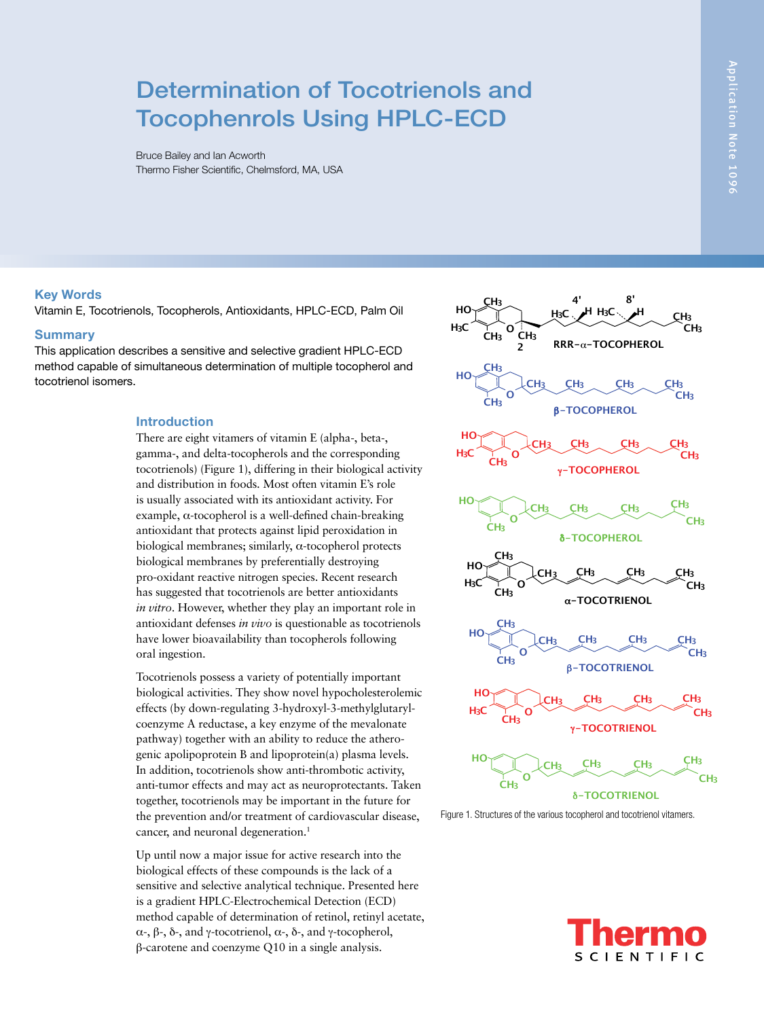# Determination of Tocotrienols and Tocophenrols Using HPLC-ECD

Bruce Bailey and Ian Acworth Thermo Fisher Scientific, Chelmsford, MA, USA

## **Key Words**

Vitamin E, Tocotrienols, Tocopherols, Antioxidants, HPLC-ECD, Palm Oil

#### **Summary**

This application describes a sensitive and selective gradient HPLC-ECD method capable of simultaneous determination of multiple tocopherol and tocotrienol isomers.

### **Introduction**

There are eight vitamers of vitamin E (alpha-, beta-, gamma-, and delta-tocopherols and the corresponding tocotrienols) (Figure 1), differing in their biological activity and distribution in foods. Most often vitamin E's role is usually associated with its antioxidant activity. For example, α-tocopherol is a well-defined chain-breaking antioxidant that protects against lipid peroxidation in biological membranes; similarly,  $\alpha$ -tocopherol protects biological membranes by preferentially destroying pro-oxidant reactive nitrogen species. Recent research has suggested that tocotrienols are better antioxidants *in vitro*. However, whether they play an important role in antioxidant defenses *in vivo* is questionable as tocotrienols have lower bioavailability than tocopherols following oral ingestion.

Tocotrienols possess a variety of potentially important biological activities. They show novel hypocholesterolemic effects (by down-regulating 3-hydroxyl-3-methylglutarylcoenzyme A reductase, a key enzyme of the mevalonate pathway) together with an ability to reduce the atherogenic apolipoprotein B and lipoprotein(a) plasma levels. In addition, tocotrienols show anti-thrombotic activity, anti-tumor effects and may act as neuroprotectants. Taken together, tocotrienols may be important in the future for the prevention and/or treatment of cardiovascular disease, cancer, and neuronal degeneration.<sup>1</sup>

Up until now a major issue for active research into the biological effects of these compounds is the lack of a sensitive and selective analytical technique. Presented here is a gradient HPLC-Electrochemical Detection (ECD) method capable of determination of retinol, retinyl acetate, α-, β-, δ-, and γ-tocotrienol, α-, δ-, and γ-tocopherol, β-carotene and coenzyme Q10 in a single analysis.



Figure 1. Structures of the various tocopherol and tocotrienol vitamers.

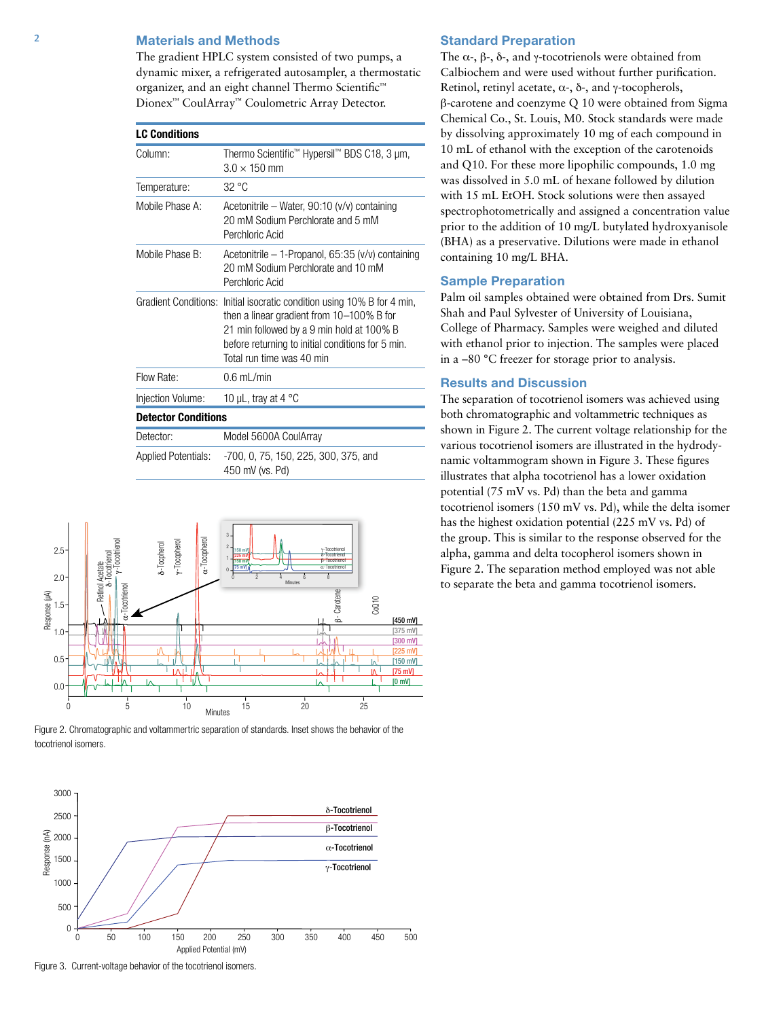## 2 **Materials and Methods**

The gradient HPLC system consisted of two pumps, a dynamic mixer, a refrigerated autosampler, a thermostatic organizer, and an eight channel Thermo Scientific™ Dionex™ CoulArray™ Coulometric Array Detector.

| <b>LC Conditions</b>       |                                                                                                                                                                                                                                                     |
|----------------------------|-----------------------------------------------------------------------------------------------------------------------------------------------------------------------------------------------------------------------------------------------------|
| Column:                    | Thermo Scientific™ Hypersil™ BDS C18, 3 µm,<br>$3.0 \times 150$ mm                                                                                                                                                                                  |
| Temperature:               | 32 °C                                                                                                                                                                                                                                               |
| Mobile Phase A:            | Acetonitrile – Water, 90:10 $(v/v)$ containing<br>20 mM Sodium Perchlorate and 5 mM<br>Perchloric Acid                                                                                                                                              |
| Mobile Phase B:            | Acetonitrile $-$ 1-Propanol, 65:35 (v/v) containing<br>20 mM Sodium Perchlorate and 10 mM<br>Perchloric Acid                                                                                                                                        |
|                            | Gradient Conditions: Initial isocratic condition using 10% B for 4 min,<br>then a linear gradient from 10-100% B for<br>21 min followed by a 9 min hold at 100% B<br>before returning to initial conditions for 5 min.<br>Total run time was 40 min |
| Flow Rate:                 | $0.6$ mL/min                                                                                                                                                                                                                                        |
| Injection Volume:          | 10 µL, tray at 4 $^{\circ}$ C                                                                                                                                                                                                                       |
| <b>Detector Conditions</b> |                                                                                                                                                                                                                                                     |
| Detector:                  | Model 5600A CoulArray                                                                                                                                                                                                                               |
| <b>Applied Potentials:</b> | -700, 0, 75, 150, 225, 300, 375, and<br>450 mV (vs. Pd)                                                                                                                                                                                             |



Figure 2. Chromatographic and voltammertric separation of standards. Inset shows the behavior of the tocotrienol isomers.



Figure 3. Current-voltage behavior of the tocotrienol isomers.

## **Standard Preparation**

The  $\alpha$ -,  $\beta$ -,  $\delta$ -, and γ-tocotrienols were obtained from Calbiochem and were used without further purification. Retinol, retinyl acetate, α-, δ-, and γ-tocopherols, β-carotene and coenzyme Q 10 were obtained from Sigma Chemical Co., St. Louis, M0. Stock standards were made by dissolving approximately 10 mg of each compound in 10 mL of ethanol with the exception of the carotenoids and Q10. For these more lipophilic compounds, 1.0 mg was dissolved in 5.0 mL of hexane followed by dilution with 15 mL EtOH. Stock solutions were then assayed spectrophotometrically and assigned a concentration value prior to the addition of 10 mg/L butylated hydroxyanisole (BHA) as a preservative. Dilutions were made in ethanol containing 10 mg/L BHA.

#### **Sample Preparation**

Palm oil samples obtained were obtained from Drs. Sumit Shah and Paul Sylvester of University of Louisiana, College of Pharmacy. Samples were weighed and diluted with ethanol prior to injection. The samples were placed in a –80 °C freezer for storage prior to analysis.

#### **Results and Discussion**

The separation of tocotrienol isomers was achieved using both chromatographic and voltammetric techniques as shown in Figure 2. The current voltage relationship for the various tocotrienol isomers are illustrated in the hydrodynamic voltammogram shown in Figure 3. These figures illustrates that alpha tocotrienol has a lower oxidation potential (75 mV vs. Pd) than the beta and gamma tocotrienol isomers (150 mV vs. Pd), while the delta isomer has the highest oxidation potential (225 mV vs. Pd) of the group. This is similar to the response observed for the alpha, gamma and delta tocopherol isomers shown in Figure 2. The separation method employed was not able to separate the beta and gamma tocotrienol isomers.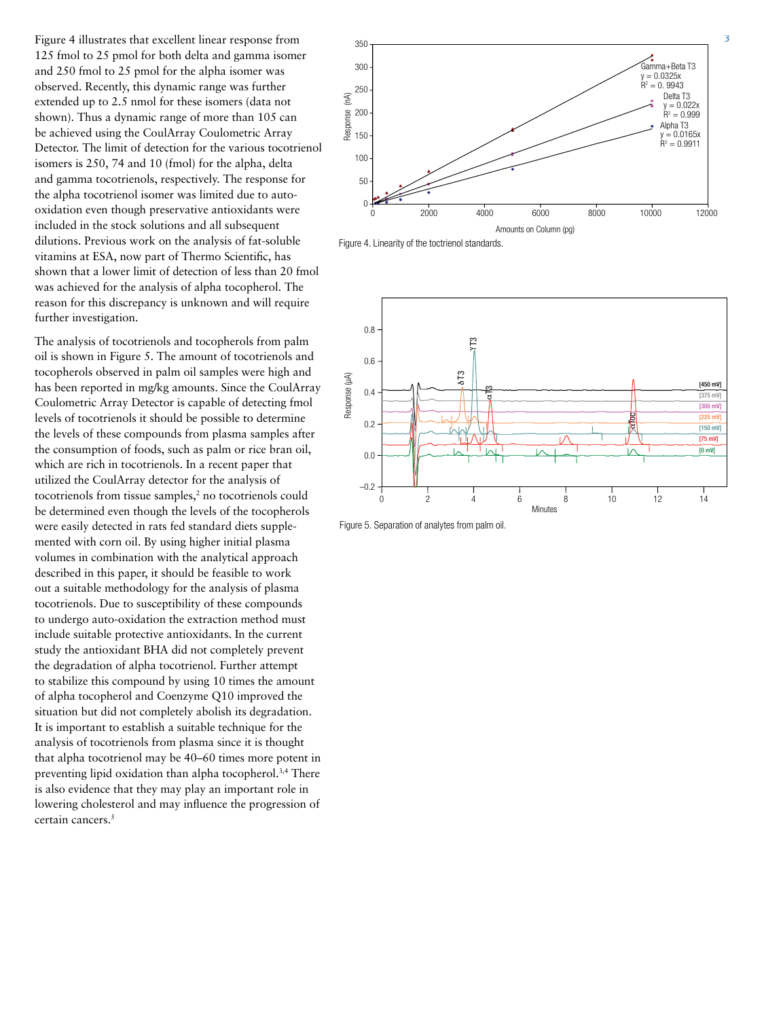Figure 4 illustrates that excellent linear response from 125 fmol to 25 pmol for both delta and gamma isomer and 250 fmol to 25 pmol for the alpha isomer was observed. Recently, this dynamic range was further extended up to 2.5 nmol for these isomers (data not shown). Thus a dynamic range of more than 105 can be achieved using the CoulArray Coulometric Array Detector. The limit of detection for the various tocotrienol isomers is 250, 74 and 10 (fmol) for the alpha, delta and gamma tocotrienols, respectively. The response for the alpha tocotrienol isomer was limited due to autooxidation even though preservative antioxidants were included in the stock solutions and all subsequent dilutions. Previous work on the analysis of fat-soluble vitamins at ESA, now part of Thermo Scientific, has shown that a lower limit of detection of less than 20 fmol was achieved for the analysis of alpha tocopherol. The reason for this discrepancy is unknown and will require further investigation.

The analysis of tocotrienols and tocopherols from palm oil is shown in Figure 5. The amount of tocotrienols and tocopherols observed in palm oil samples were high and has been reported in mg/kg amounts. Since the CoulArray Coulometric Array Detector is capable of detecting fmol levels of tocotrienols it should be possible to determine the levels of these compounds from plasma samples after the consumption of foods, such as palm or rice bran oil, which are rich in tocotrienols. In a recent paper that utilized the CoulArray detector for the analysis of tocotrienols from tissue samples,<sup>2</sup> no tocotrienols could be determined even though the levels of the tocopherols were easily detected in rats fed standard diets supplemented with corn oil. By using higher initial plasma volumes in combination with the analytical approach described in this paper, it should be feasible to work out a suitable methodology for the analysis of plasma tocotrienols. Due to susceptibility of these compounds to undergo auto-oxidation the extraction method must include suitable protective antioxidants. In the current study the antioxidant BHA did not completely prevent the degradation of alpha tocotrienol. Further attempt to stabilize this compound by using 10 times the amount of alpha tocopherol and Coenzyme Q10 improved the situation but did not completely abolish its degradation. It is important to establish a suitable technique for the analysis of tocotrienols from plasma since it is thought that alpha tocotrienol may be 40–60 times more potent in preventing lipid oxidation than alpha tocopherol.3,4 There is also evidence that they may play an important role in lowering cholesterol and may influence the progression of certain cancers.<sup>5</sup>



Figure 4. Linearity of the toctrienol standards.



Figure 5. Separation of analytes from palm oil.